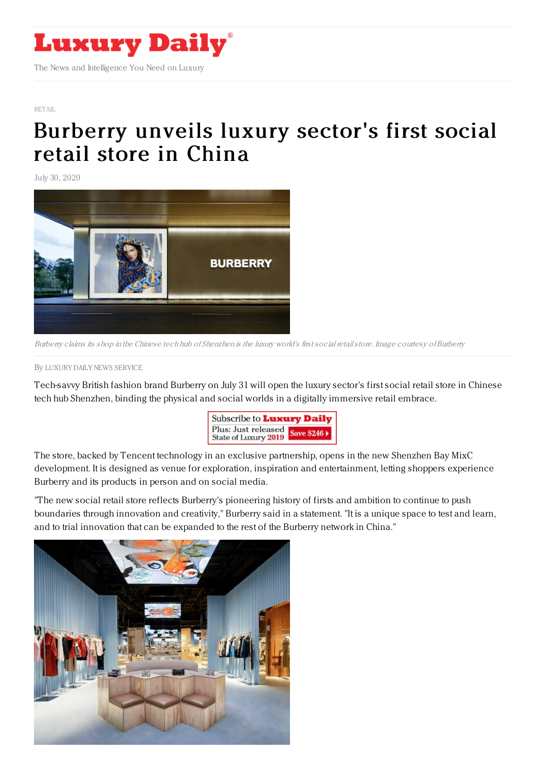

[RETAIL](https://www.luxurydaily.com/category/sectors/retail-industry-sectors/)

## [Burberry](https://www.luxurydaily.com/burberry-unveils-luxury-sectors-first-social-retail-store-in-china/) unveils luxury sector's first social retail store in China

July 30, 2020



Burberry claims its shop in the Chinese tech hub of Shenzhen is the luxury world's first socialretailstore. Image courtesy ofBurberry

By LUXURY DAILY NEWS [SERVICE](file:///author/luxury-daily-news-service)

Tech-savvy British fashion brand Burberry on July 31 will open the luxury sector's first social retail store in Chinese tech hub Shenzhen, binding the physical and social worlds in a digitally immersive retail embrace.



The store, backed by Tencent technology in an exclusive partnership, opens in the new Shenzhen Bay MixC development. It is designed as venue for exploration, inspiration and entertainment, letting shoppers experience Burberry and its products in person and on social media.

"The new social retail store reflects Burberry's pioneering history of firsts and ambition to continue to push boundaries through innovation and creativity," Burberry said in a statement. "It is a unique space to test and learn, and to trial innovation that can be expanded to the rest of the Burberry network in China."

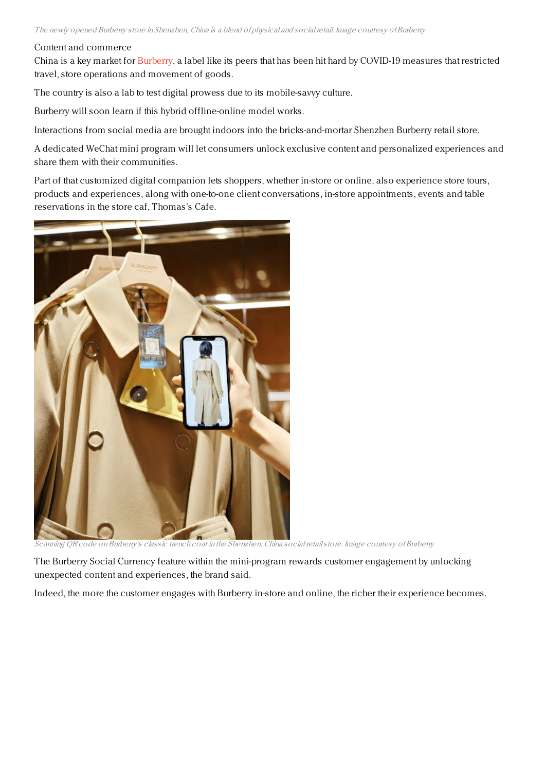## Content and commerce

China is a key market for [Burberry](http://www.burberry.com), a label like its peers that has been hit hard by COVID-19 measures that restricted travel, store operations and movement of goods.

The country is also a lab to test digital prowess due to its mobile-savvy culture.

Burberry will soon learn if this hybrid offline-online model works.

Interactions from social media are brought indoors into the bricks-and-mortar Shenzhen Burberry retail store.

A dedicated WeChat mini program will let consumers unlock exclusive content and personalized experiences and share them with their communities.

Part of that customized digital companion lets shoppers, whether in-store or online, also experience store tours, products and experiences, along with one-to-one client conversations, in-store appointments, events and table reservations in the store caf, Thomas's Cafe.



Scanning QR code onBurberry's classic trench coat in the Shenzhen, China socialretailstore. Image courtesy ofBurberry

The Burberry Social Currency feature within the mini-program rewards customer engagement by unlocking unexpected content and experiences, the brand said.

Indeed, the more the customer engages with Burberry in-store and online, the richer their experience becomes.